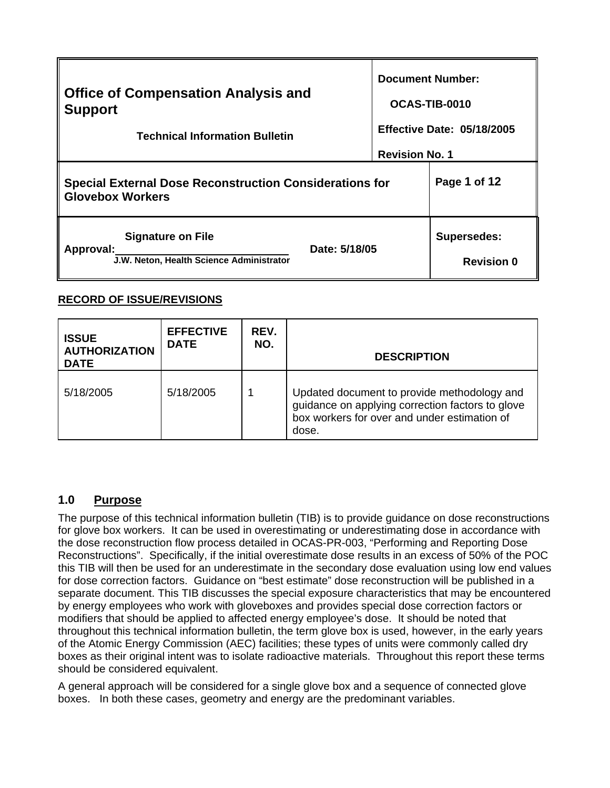| <b>Office of Compensation Analysis and</b><br><b>Support</b><br><b>Technical Information Bulletin</b> | <b>Document Number:</b><br>OCAS-TIB-0010<br><b>Effective Date: 05/18/2005</b><br><b>Revision No. 1</b> |                                         |
|-------------------------------------------------------------------------------------------------------|--------------------------------------------------------------------------------------------------------|-----------------------------------------|
| <b>Special External Dose Reconstruction Considerations for</b><br><b>Glovebox Workers</b>             | Page 1 of 12                                                                                           |                                         |
| <b>Signature on File</b><br>Date: 5/18/05<br>Approval:<br>J.W. Neton, Health Science Administrator    |                                                                                                        | <b>Supersedes:</b><br><b>Revision 0</b> |

### **RECORD OF ISSUE/REVISIONS**

| <b>ISSUE</b><br><b>AUTHORIZATION</b><br><b>DATE</b> | <b>EFFECTIVE</b><br><b>DATE</b> | REV.<br>NO. | <b>DESCRIPTION</b>                                                                                                                                       |
|-----------------------------------------------------|---------------------------------|-------------|----------------------------------------------------------------------------------------------------------------------------------------------------------|
| 5/18/2005                                           | 5/18/2005                       |             | Updated document to provide methodology and<br>guidance on applying correction factors to glove<br>box workers for over and under estimation of<br>dose. |

# **1.0 Purpose**

should be considered equivalent. The purpose of this technical information bulletin (TIB) is to provide guidance on dose reconstructions for glove box workers. It can be used in overestimating or underestimating dose in accordance with the dose reconstruction flow process detailed in OCAS-PR-003, "Performing and Reporting Dose Reconstructions". Specifically, if the initial overestimate dose results in an excess of 50% of the POC this TIB will then be used for an underestimate in the secondary dose evaluation using low end values for dose correction factors. Guidance on "best estimate" dose reconstruction will be published in a separate document. This TIB discusses the special exposure characteristics that may be encountered by energy employees who work with gloveboxes and provides special dose correction factors or modifiers that should be applied to affected energy employee's dose. It should be noted that throughout this technical information bulletin, the term glove box is used, however, in the early years of the Atomic Energy Commission (AEC) facilities; these types of units were commonly called dry boxes as their original intent was to isolate radioactive materials. Throughout this report these terms

A general approach will be considered for a single glove box and a sequence of connected glove boxes. In both these cases, geometry and energy are the predominant variables.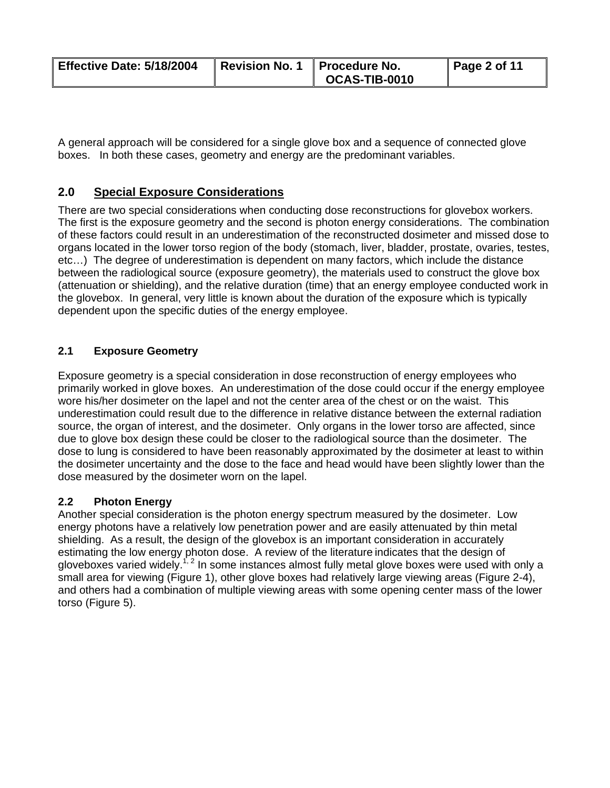| Effective Date: 5/18/2004 | Revision No. 1   Procedure No. |                      | $\vert$ Page 2 of 11 |
|---------------------------|--------------------------------|----------------------|----------------------|
|                           |                                | <b>OCAS-TIB-0010</b> |                      |

A general approach will be considered for a single glove box and a sequence of connected glove boxes. In both these cases, geometry and energy are the predominant variables.

## **2.0 Special Exposure Considerations**

There are two special considerations when conducting dose reconstructions for glovebox workers. The first is the exposure geometry and the second is photon energy considerations. The combination of these factors could result in an underestimation of the reconstructed dosimeter and missed dose to organs located in the lower torso region of the body (stomach, liver, bladder, prostate, ovaries, testes, etc…) The degree of underestimation is dependent on many factors, which include the distance between the radiological source (exposure geometry), the materials used to construct the glove box (attenuation or shielding), and the relative duration (time) that an energy employee conducted work in the glovebox. In general, very little is known about the duration of the exposure which is typically dependent upon the specific duties of the energy employee.

### **2.1 Exposure Geometry**

Exposure geometry is a special consideration in dose reconstruction of energy employees who primarily worked in glove boxes. An underestimation of the dose could occur if the energy employee wore his/her dosimeter on the lapel and not the center area of the chest or on the waist. This underestimation could result due to the difference in relative distance between the external radiation source, the organ of interest, and the dosimeter. Only organs in the lower torso are affected, since due to glove box design these could be closer to the radiological source than the dosimeter. The dose to lung is considered to have been reasonably approximated by the dosimeter at least to within the dosimeter uncertainty and the dose to the face and head would have been slightly lower than the dose measured by the dosimeter worn on the lapel.

#### **2.2 Photon Energy**

Another special consideration is the photon energy spectrum measured by the dosimeter. Low energy photons have a relatively low penetration power and are easily attenuated by thin metal shielding. As a result, the design of the glovebox is an important consideration in accurately estimating the low energy photon dose. A review of the literature indicates that the design of gloveboxes varied widely.<sup>1, 2</sup> In some instances almost fully metal glove boxes were used with only a small area for viewing (Figure 1), other glove boxes had relatively large viewing areas (Figure 2-4), and others had a combination of multiple viewing areas with some opening center mass of the lower torso (Figure 5).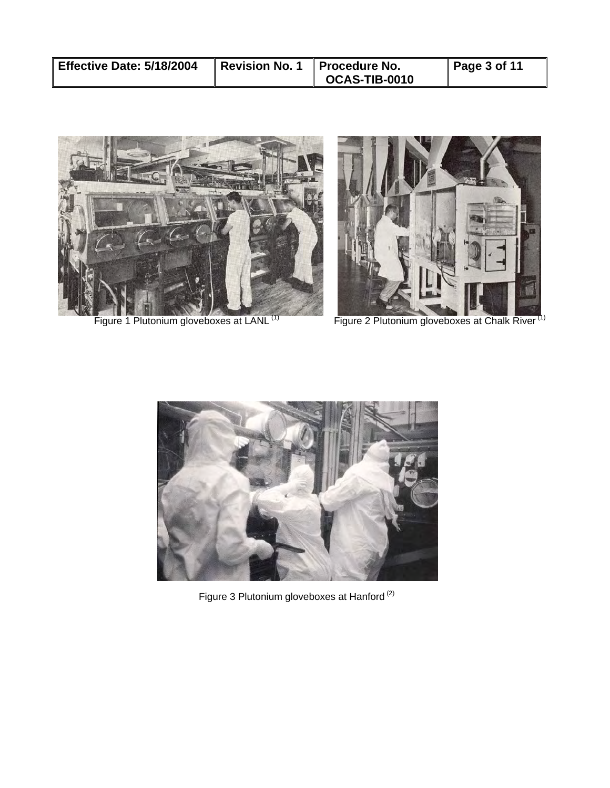| Effective Date: 5/18/2004 | Revision No. 1 Procedure No. |               | $\vert$ Page 3 of 11 |
|---------------------------|------------------------------|---------------|----------------------|
|                           |                              | OCAS-TIB-0010 |                      |





Figure 1 Plutonium gloveboxes at LANL<sup>(1)</sup> Figure 2 Plutonium gloveboxes at Chalk River<sup>(1)</sup>



ļ.

Figure 3 Plutonium gloveboxes at Hanford<sup>(2)</sup>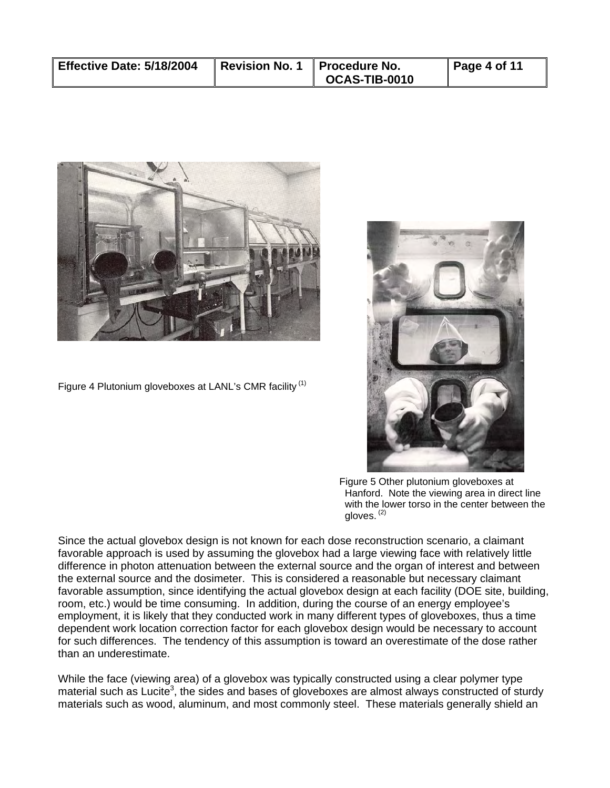| Effective Date: 5/18/2004 | Revision No. 1 Procedure No. | <b>OCAS-TIB-0010</b> | $\vert$ Page 4 of 11 |
|---------------------------|------------------------------|----------------------|----------------------|
|                           |                              |                      |                      |



Figure 4 Plutonium gloveboxes at LANL's CMR facility  $(1)$ 



 Figure 5 Other plutonium gloveboxes at Hanford. Note the viewing area in direct line with the lower torso in the center between the gloves. (2)

Since the actual glovebox design is not known for each dose reconstruction scenario, a claimant favorable approach is used by assuming the glovebox had a large viewing face with relatively little difference in photon attenuation between the external source and the organ of interest and between the external source and the dosimeter. This is considered a reasonable but necessary claimant favorable assumption, since identifying the actual glovebox design at each facility (DOE site, building, room, etc.) would be time consuming. In addition, during the course of an energy employee's employment, it is likely that they conducted work in many different types of gloveboxes, thus a time dependent work location correction factor for each glovebox design would be necessary to account for such differences. The tendency of this assumption is toward an overestimate of the dose rather than an underestimate.

While the face (viewing area) of a glovebox was typically constructed using a clear polymer type material such as Lucite<sup>3</sup>, the sides and bases of gloveboxes are almost always constructed of sturdy materials such as wood, aluminum, and most commonly steel. These materials generally shield an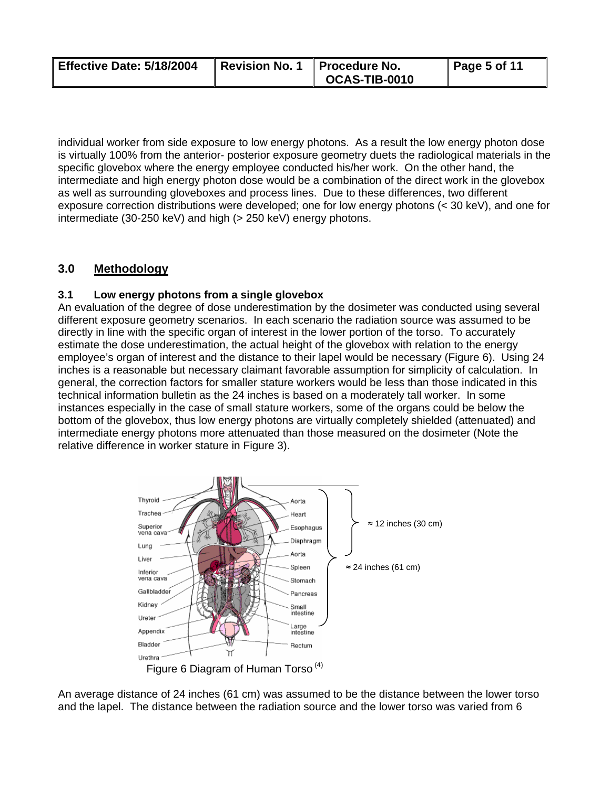| Effective Date: 5/18/2004 | Revision No. 1   Procedure No. |                      | $\vert$ Page 5 of 11 |
|---------------------------|--------------------------------|----------------------|----------------------|
|                           |                                | <b>OCAS-TIB-0010</b> |                      |

individual worker from side exposure to low energy photons. As a result the low energy photon dose is virtually 100% from the anterior- posterior exposure geometry duets the radiological materials in the specific glovebox where the energy employee conducted his/her work. On the other hand, the intermediate and high energy photon dose would be a combination of the direct work in the glovebox as well as surrounding gloveboxes and process lines. Due to these differences, two different exposure correction distributions were developed; one for low energy photons (< 30 keV), and one for intermediate (30-250 keV) and high (> 250 keV) energy photons.

## **3.0 Methodology**

### **3.1 Low energy photons from a single glovebox**

An evaluation of the degree of dose underestimation by the dosimeter was conducted using several different exposure geometry scenarios. In each scenario the radiation source was assumed to be directly in line with the specific organ of interest in the lower portion of the torso. To accurately estimate the dose underestimation, the actual height of the glovebox with relation to the energy employee's organ of interest and the distance to their lapel would be necessary (Figure 6). Using 24 inches is a reasonable but necessary claimant favorable assumption for simplicity of calculation. In general, the correction factors for smaller stature workers would be less than those indicated in this technical information bulletin as the 24 inches is based on a moderately tall worker. In some instances especially in the case of small stature workers, some of the organs could be below the bottom of the glovebox, thus low energy photons are virtually completely shielded (attenuated) and intermediate energy photons more attenuated than those measured on the dosimeter (Note the relative difference in worker stature in Figure 3).



An average distance of 24 inches (61 cm) was assumed to be the distance between the lower torso and the lapel. The distance between the radiation source and the lower torso was varied from 6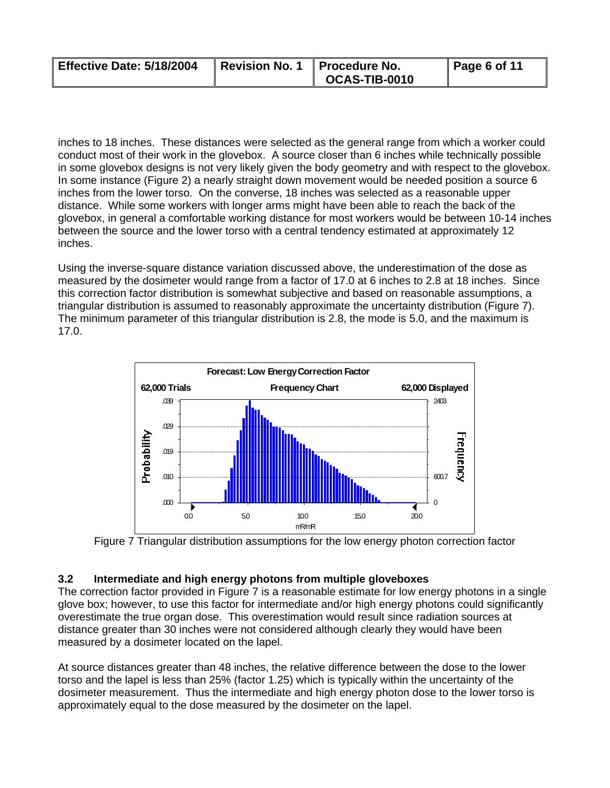| Effective Date: 5/18/2004 | Revision No. 1   Procedure No. |                              | $\vert$ Page 6 of 11 |
|---------------------------|--------------------------------|------------------------------|----------------------|
|                           |                                | $\overline{O}$ OCAS-TIB-0010 |                      |

inches to 18 inches. These distances were selected as the general range from which a worker could conduct most of their work in the glovebox. A source closer than 6 inches while technically possible in some glovebox designs is not very likely given the body geometry and with respect to the glovebox. In some instance (Figure 2) a nearly straight down movement would be needed position a source 6 inches from the lower torso. On the converse, 18 inches was selected as a reasonable upper distance. While some workers with longer arms might have been able to reach the back of the glovebox, in general a comfortable working distance for most workers would be between 10-14 inches between the source and the lower torso with a central tendency estimated at approximately 12 inches.

Using the inverse-square distance variation discussed above, the underestimation of the dose as measured by the dosimeter would range from a factor of 17.0 at 6 inches to 2.8 at 18 inches. Since this correction factor distribution is somewhat subjective and based on reasonable assumptions, a triangular distribution is assumed to reasonably approximate the uncertainty distribution (Figure 7). The minimum parameter of this triangular distribution is 2.8, the mode is 5.0, and the maximum is 17.0.





#### **3.2 Intermediate and high energy photons from multiple gloveboxes**

The correction factor provided in Figure 7 is a reasonable estimate for low energy photons in a single glove box; however, to use this factor for intermediate and/or high energy photons could significantly overestimate the true organ dose. This overestimation would result since radiation sources at distance greater than 30 inches were not considered although clearly they would have been measured by a dosimeter located on the lapel.

 approximately equal to the dose measured by the dosimeter on the lapel. At source distances greater than 48 inches, the relative difference between the dose to the lower torso and the lapel is less than 25% (factor 1.25) which is typically within the uncertainty of the dosimeter measurement. Thus the intermediate and high energy photon dose to the lower torso is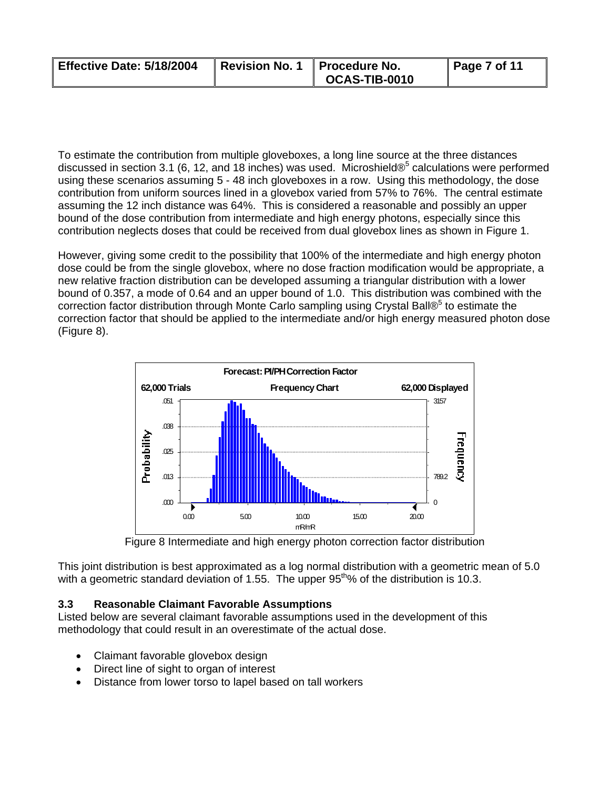| Effective Date: 5/18/2004 | Revision No. 1   Procedure No. |                      | $\vert$ Page 7 of 11 |
|---------------------------|--------------------------------|----------------------|----------------------|
|                           |                                | <b>OCAS-TIB-0010</b> |                      |

To estimate the contribution from multiple gloveboxes, a long line source at the three distances discussed in section 3.1 (6, 12, and 18 inches) was used. Microshield $\mathcal{O}^5$  calculations were performed using these scenarios assuming 5 - 48 inch gloveboxes in a row. Using this methodology, the dose contribution from uniform sources lined in a glovebox varied from 57% to 76%. The central estimate assuming the 12 inch distance was 64%. This is considered a reasonable and possibly an upper bound of the dose contribution from intermediate and high energy photons, especially since this contribution neglects doses that could be received from dual glovebox lines as shown in Figure 1.

However, giving some credit to the possibility that 100% of the intermediate and high energy photon dose could be from the single glovebox, where no dose fraction modification would be appropriate, a new relative fraction distribution can be developed assuming a triangular distribution with a lower bound of 0.357, a mode of 0.64 and an upper bound of 1.0. This distribution was combined with the correction factor distribution through Monte Carlo sampling using Crystal Ball®<sup>5</sup> to estimate the correction factor that should be applied to the intermediate and/or high energy measured photon dose (Figure 8).



Figure 8 Intermediate and high energy photon correction factor distribution

This joint distribution is best approximated as a log normal distribution with a geometric mean of 5.0 with a geometric standard deviation of 1.55. The upper  $95<sup>th</sup>%$  of the distribution is 10.3.

#### **3.3 Reasonable Claimant Favorable Assumptions**

Listed below are several claimant favorable assumptions used in the development of this methodology that could result in an overestimate of the actual dose.

- Claimant favorable glovebox design
- Direct line of sight to organ of interest
- Distance from lower torso to lapel based on tall workers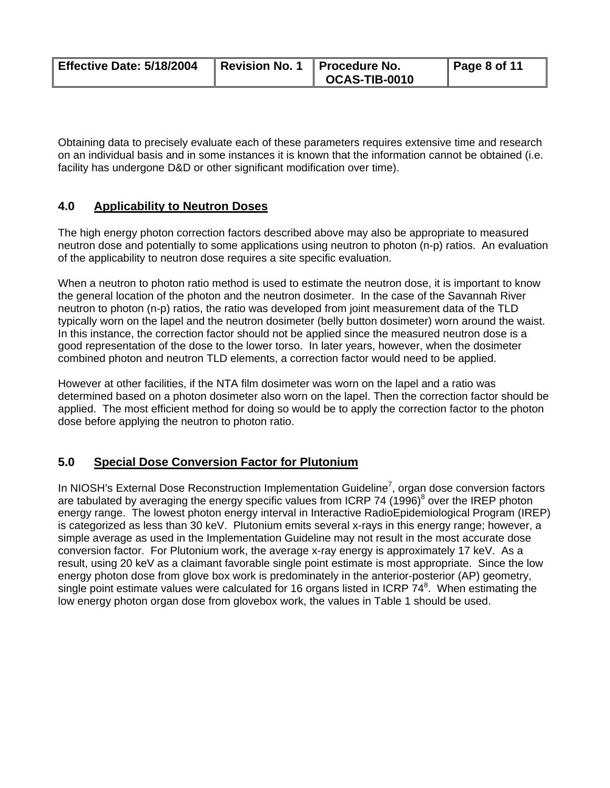| Effective Date: 5/18/2004 | Revision No. 1   Procedure No. |                      | $\vert$ Page 8 of 11 |
|---------------------------|--------------------------------|----------------------|----------------------|
|                           |                                | <b>OCAS-TIB-0010</b> |                      |

Obtaining data to precisely evaluate each of these parameters requires extensive time and research on an individual basis and in some instances it is known that the information cannot be obtained (i.e. facility has undergone D&D or other significant modification over time).

### **4.0 Applicability to Neutron Doses**

The high energy photon correction factors described above may also be appropriate to measured neutron dose and potentially to some applications using neutron to photon (n-p) ratios. An evaluation of the applicability to neutron dose requires a site specific evaluation.

When a neutron to photon ratio method is used to estimate the neutron dose, it is important to know the general location of the photon and the neutron dosimeter. In the case of the Savannah River neutron to photon (n-p) ratios, the ratio was developed from joint measurement data of the TLD typically worn on the lapel and the neutron dosimeter (belly button dosimeter) worn around the waist. In this instance, the correction factor should not be applied since the measured neutron dose is a good representation of the dose to the lower torso. In later years, however, when the dosimeter combined photon and neutron TLD elements, a correction factor would need to be applied.

 dose before applying the neutron to photon ratio. However at other facilities, if the NTA film dosimeter was worn on the lapel and a ratio was determined based on a photon dosimeter also worn on the lapel. Then the correction factor should be applied. The most efficient method for doing so would be to apply the correction factor to the photon

### **5.0 Special Dose Conversion Factor for Plutonium**

In NIOSH's External Dose Reconstruction Implementation Guideline<sup>7</sup>, organ dose conversion factors are tabulated by averaging the energy specific values from ICRP 74 (1996)<sup>8</sup> over the IREP photon energy range. The lowest photon energy interval in Interactive RadioEpidemiological Program (IREP) is categorized as less than 30 keV. Plutonium emits several x-rays in this energy range; however, a simple average as used in the Implementation Guideline may not result in the most accurate dose conversion factor. For Plutonium work, the average x-ray energy is approximately 17 keV. As a result, using 20 keV as a claimant favorable single point estimate is most appropriate. Since the low energy photon dose from glove box work is predominately in the anterior-posterior (AP) geometry, single point estimate values were calculated for 16 organs listed in ICRP  $74^8$ . When estimating the low energy photon organ dose from glovebox work, the values in Table 1 should be used.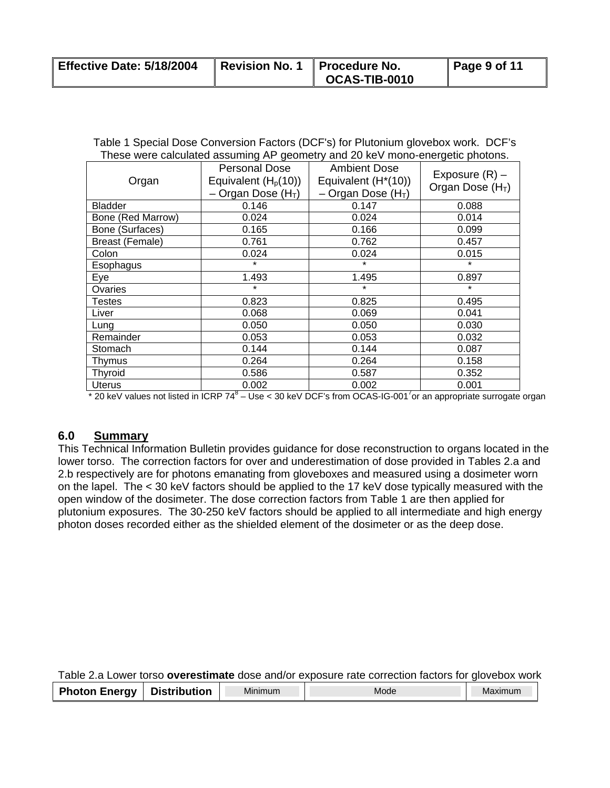| Effective Date: 5/18/2004 | Revision No. 1   Procedure No. |                           | $\vert$ Page 9 of 11 |
|---------------------------|--------------------------------|---------------------------|----------------------|
|                           |                                | $\parallel$ OCAS-TIB-0010 |                      |

| Table 1 Special Dose Conversion Factors (DCF's) for Plutonium glovebox work. DCF's |  |
|------------------------------------------------------------------------------------|--|
| These were calculated assuming AP geometry and 20 keV mono-energetic photons.      |  |

| Organ             | <b>Personal Dose</b><br>Equivalent $(H_p(10))$<br>Organ Dose $(HT)$ | <b>Ambient Dose</b><br>Equivalent $(H^*(10))$<br>- Organ Dose $(H_T)$ | Exposure $(R)$ –<br>Organ Dose $(H_T)$ |
|-------------------|---------------------------------------------------------------------|-----------------------------------------------------------------------|----------------------------------------|
| <b>Bladder</b>    | 0.146                                                               | 0.147                                                                 | 0.088                                  |
| Bone (Red Marrow) | 0.024                                                               | 0.024                                                                 | 0.014                                  |
| Bone (Surfaces)   | 0.165                                                               | 0.166                                                                 | 0.099                                  |
| Breast (Female)   | 0.761                                                               | 0.762                                                                 | 0.457                                  |
| Colon             | 0.024                                                               | 0.024                                                                 | 0.015                                  |
| Esophagus         | $\star$                                                             | $\star$                                                               | $\star$                                |
| Eye               | 1.493                                                               | 1.495                                                                 | 0.897                                  |
| Ovaries           | $\star$                                                             | $\star$                                                               | $\star$                                |
| Testes            | 0.823                                                               | 0.825                                                                 | 0.495                                  |
| Liver             | 0.068                                                               | 0.069                                                                 | 0.041                                  |
| Lung              | 0.050                                                               | 0.050                                                                 | 0.030                                  |
| Remainder         | 0.053                                                               | 0.053                                                                 | 0.032                                  |
| Stomach           | 0.144                                                               | 0.144                                                                 | 0.087                                  |
| Thymus            | 0.264                                                               | 0.264                                                                 | 0.158                                  |
| <b>Thyroid</b>    | 0.586                                                               | 0.587                                                                 | 0.352                                  |
| Uterus            | 0.002                                                               | 0.002                                                                 | 0.001                                  |

 $*$  20 keV values not listed in ICRP 74 $8 -$  Use < 30 keV DCF's from OCAS-IG-001<sup>7</sup> or an appropriate surrogate organ

#### **6.0 Summary**

This Technical Information Bulletin provides guidance for dose reconstruction to organs located in the lower torso. The correction factors for over and underestimation of dose provided in Tables 2.a and 2.b respectively are for photons emanating from gloveboxes and measured using a dosimeter worn on the lapel. The < 30 keV factors should be applied to the 17 keV dose typically measured with the open window of the dosimeter. The dose correction factors from Table 1 are then applied for plutonium exposures. The 30-250 keV factors should be applied to all intermediate and high energy photon doses recorded either as the shielded element of the dosimeter or as the deep dose.

Table 2.a Lower torso **overestimate** dose and/or exposure rate correction factors for glovebox work

| <b>Photon Energy</b><br>Distribution<br>Minimum | <b>MOOL</b> | Maximun. |
|-------------------------------------------------|-------------|----------|
|-------------------------------------------------|-------------|----------|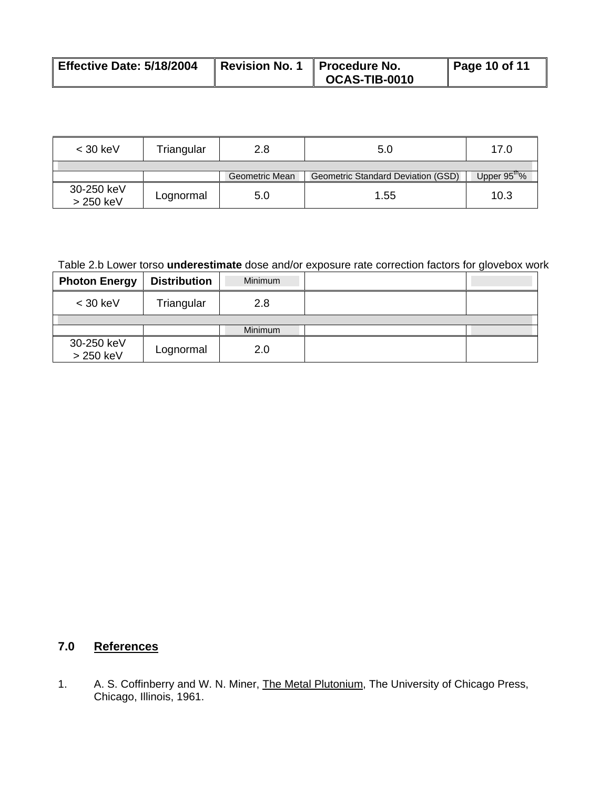| Effective Date: 5/18/2004 | Revision No. 1 | <b>Il Procedure No.</b> | Page 10 of 11 |
|---------------------------|----------------|-------------------------|---------------|
|                           |                | <b>OCAS-TIB-0010</b>    |               |

| $<$ 30 keV              | Triangular | 2.8            | 5.0                                | 17.0                    |
|-------------------------|------------|----------------|------------------------------------|-------------------------|
|                         |            |                |                                    |                         |
|                         |            | Geometric Mean | Geometric Standard Deviation (GSD) | Upper $95^{\text{m}}\%$ |
| 30-250 keV<br>> 250 keV | Lognormal  | 5.0            | 1.55                               | 10.3                    |

# Table 2.b Lower torso **underestimate** dose and/or exposure rate correction factors for glovebox work

| <b>Photon Energy</b>    | <b>Distribution</b> | Minimum |  |
|-------------------------|---------------------|---------|--|
| $<$ 30 keV              | Triangular          | 2.8     |  |
|                         |                     |         |  |
|                         |                     | Minimum |  |
| 30-250 keV<br>> 250 keV | Lognormal           | 2.0     |  |

# **7.0 References**

1. A. S. Coffinberry and W. N. Miner, The Metal Plutonium, The University of Chicago Press, Chicago, Illinois, 1961.